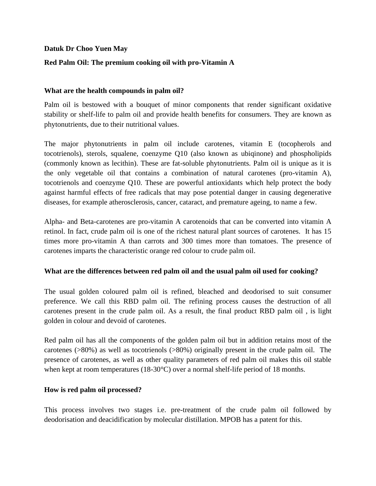## **Datuk Dr Choo Yuen May**

# **Red Palm Oil: The premium cooking oil with pro-Vitamin A**

## **What are the health compounds in palm oil?**

Palm oil is bestowed with a bouquet of minor components that render significant oxidative stability or shelf-life to palm oil and provide health benefits for consumers. They are known as phytonutrients, due to their nutritional values.

The major phytonutrients in palm oil include carotenes, vitamin E (tocopherols and tocotrienols), sterols, squalene, coenzyme Q10 (also known as ubiqinone) and phospholipids (commonly known as lecithin). These are fat-soluble phytonutrients. Palm oil is unique as it is the only vegetable oil that contains a combination of natural carotenes (pro-vitamin A), tocotrienols and coenzyme Q10. These are powerful antioxidants which help protect the body against harmful effects of free radicals that may pose potential danger in causing degenerative diseases, for example atherosclerosis, cancer, cataract, and premature ageing, to name a few.

Alpha- and Beta-carotenes are pro-vitamin A carotenoids that can be converted into vitamin A retinol. In fact, crude palm oil is one of the richest natural plant sources of carotenes. It has 15 times more pro-vitamin A than carrots and 300 times more than tomatoes. The presence of carotenes imparts the characteristic orange red colour to crude palm oil.

#### **What are the differences between red palm oil and the usual palm oil used for cooking?**

The usual golden coloured palm oil is refined, bleached and deodorised to suit consumer preference. We call this RBD palm oil. The refining process causes the destruction of all carotenes present in the crude palm oil. As a result, the final product RBD palm oil , is light golden in colour and devoid of carotenes.

Red palm oil has all the components of the golden palm oil but in addition retains most of the carotenes (>80%) as well as tocotrienols (>80%) originally present in the crude palm oil. The presence of carotenes, as well as other quality parameters of red palm oil makes this oil stable when kept at room temperatures (18-30°C) over a normal shelf-life period of 18 months.

#### **How is red palm oil processed?**

This process involves two stages i.e. pre-treatment of the crude palm oil followed by deodorisation and deacidification by molecular distillation. MPOB has a patent for this.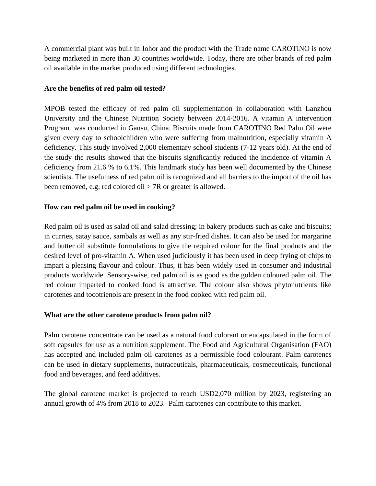A commercial plant was built in Johor and the product with the Trade name CAROTINO is now being marketed in more than 30 countries worldwide. Today, there are other brands of red palm oil available in the market produced using different technologies.

## **Are the benefits of red palm oil tested?**

MPOB tested the efficacy of red palm oil supplementation in collaboration with Lanzhou University and the Chinese Nutrition Society between 2014-2016. A vitamin A intervention Program was conducted in Gansu, China. Biscuits made from CAROTINO Red Palm Oil were given every day to schoolchildren who were suffering from malnutrition, especially vitamin A deficiency. This study involved 2,000 elementary school students (7-12 years old). At the end of the study the results showed that the biscuits significantly reduced the incidence of vitamin A deficiency from 21.6 % to 6.1%. This landmark study has been well documented by the Chinese scientists. The usefulness of red palm oil is recognized and all barriers to the import of the oil has been removed, e.g. red colored oil > 7R or greater is allowed.

## **How can red palm oil be used in cooking?**

Red palm oil is used as salad oil and salad dressing; in bakery products such as cake and biscuits; in curries, satay sauce, sambals as well as any stir-fried dishes. It can also be used for margarine and butter oil substitute formulations to give the required colour for the final products and the desired level of pro-vitamin A. When used judiciously it has been used in deep frying of chips to impart a pleasing flavour and colour. Thus, it has been widely used in consumer and industrial products worldwide. Sensory-wise, red palm oil is as good as the golden coloured palm oil. The red colour imparted to cooked food is attractive. The colour also shows phytonutrients like carotenes and tocotrienols are present in the food cooked with red palm oil.

# **What are the other carotene products from palm oil?**

Palm carotene concentrate can be used as a natural food colorant or encapsulated in the form of soft capsules for use as a nutrition supplement. The Food and Agricultural Organisation (FAO) has accepted and included palm oil carotenes as a permissible food colourant. Palm carotenes can be used in dietary supplements, nutraceuticals, pharmaceuticals, cosmeceuticals, functional food and beverages, and feed additives.

The global carotene market is projected to reach USD2,070 million by 2023, registering an annual growth of 4% from 2018 to 2023. Palm carotenes can contribute to this market.